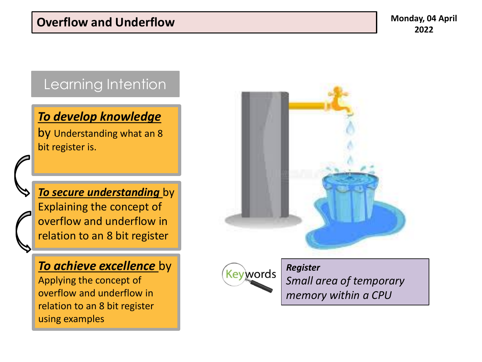## Learning Intention

### *To develop knowledge*

by Understanding what an 8 bit register is.

*To secure understanding* by Explaining the concept of overflow and underflow in relation to an 8 bit register

### *To achieve excellence* by

Applying the concept of overflow and underflow in relation to an 8 bit register using examples





*Register Small area of temporary memory within a CPU*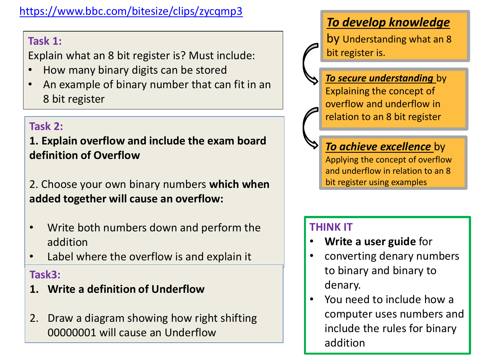### <https://www.bbc.com/bitesize/clips/zycqmp3>

### **Task 1:**

Explain what an 8 bit register is? Must include:

- How many binary digits can be stored
- An example of binary number that can fit in an 8 bit register

### **Task 2:**

**1. Explain overflow and include the exam board definition of Overflow**

2. Choose your own binary numbers **which when added together will cause an overflow:**

- Write both numbers down and perform the addition
- Label where the overflow is and explain it

#### **Task3:**

- **1. Write a definition of Underflow**
- 2. Draw a diagram showing how right shifting 00000001 will cause an Underflow

## *To develop knowledge*

by Understanding what an 8 bit register is.

*To secure understanding* by Explaining the concept of overflow and underflow in relation to an 8 bit register

*To achieve excellence* by Applying the concept of overflow and underflow in relation to an 8 bit register using examples

### **THINK IT**

- **Write a user guide** for
- converting denary numbers to binary and binary to denary.
- You need to include how a computer uses numbers and include the rules for binary addition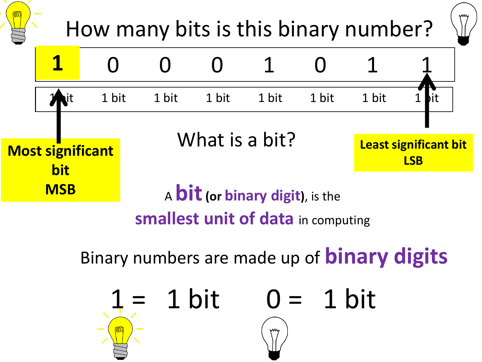

Binary numbers are made up of **binary digits** 

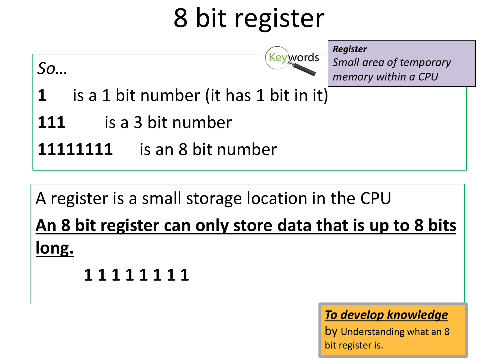# 8 bit register

*So…*

*Register* Keywords

*Small area of temporary memory within a CPU*

- **1** is a 1 bit number (it has 1 bit in it)
- **111** is a 3 bit number
- **11111111** is an 8 bit number

# A register is a small storage location in the CPU

**An 8 bit register can only store data that is up to 8 bits long.**

**1 1 1 1 1 1 1 1**

## *To develop knowledge*

by Understanding what an 8 bit register is.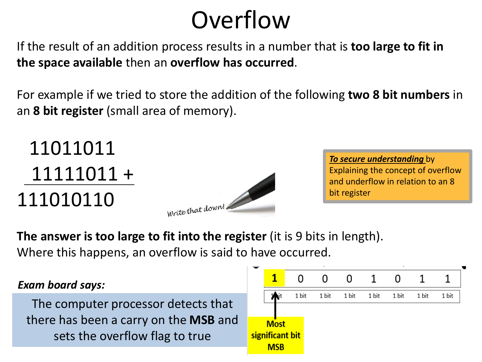# **Overflow**

If the result of an addition process results in a number that is **too large to fit in the space available** then an **overflow has occurred**.

For example if we tried to store the addition of the following **two 8 bit numbers** in an **8 bit register** (small area of memory).

11011011 11111011 + 111010110



*To secure understanding* by Explaining the concept of overflow and underflow in relation to an 8 bit register

**The answer is too large to fit into the register** (it is 9 bits in length). Where this happens, an overflow is said to have occurred.

#### *Exam board says:*

The computer processor detects that there has been a carry on the **MSB** and sets the overflow flag to true

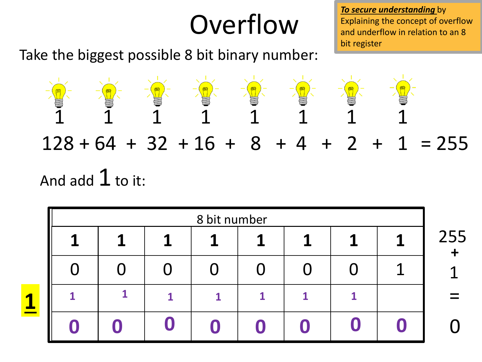# **Overflow**

Take the biggest possible 8 bit binary number:

*To secure understanding* by Explaining the concept of overflow and underflow in relation to an 8 bit register

**+**

=



| 8 bit number |  |  |   |   |  |   |  |   |
|--------------|--|--|---|---|--|---|--|---|
| 1            |  |  | 1 |   |  | 1 |  | ∠ |
|              |  |  |   |   |  |   |  |   |
|              |  |  |   | 1 |  |   |  |   |
|              |  |  |   |   |  |   |  |   |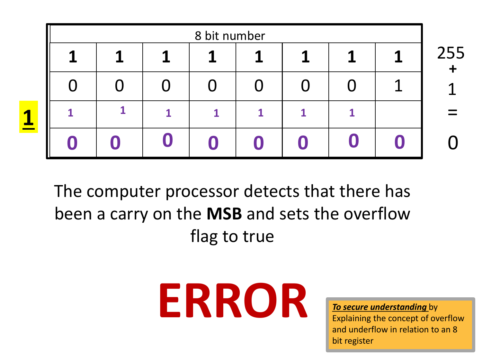| 8 bit number |  |  |   |   |   |   |  |     |
|--------------|--|--|---|---|---|---|--|-----|
|              |  |  | я | 1 | Л | 1 |  | 255 |
|              |  |  |   |   |   |   |  |     |
|              |  |  | 1 |   |   |   |  |     |
|              |  |  |   |   |   |   |  |     |

The computer processor detects that there has been a carry on the **MSB** and sets the overflow flag to true



Explaining the concept of overflow and underflow in relation to an 8 bit register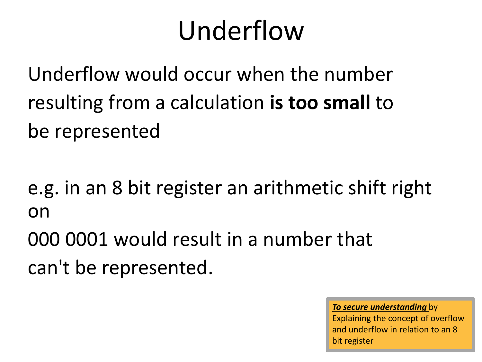# Underflow

Underflow would occur when the number resulting from a calculation **is too small** to be represented

e.g. in an 8 bit register an arithmetic shift right on

000 0001 would result in a number that can't be represented.

> *To secure understanding* by Explaining the concept of overflow and underflow in relation to an 8 bit register